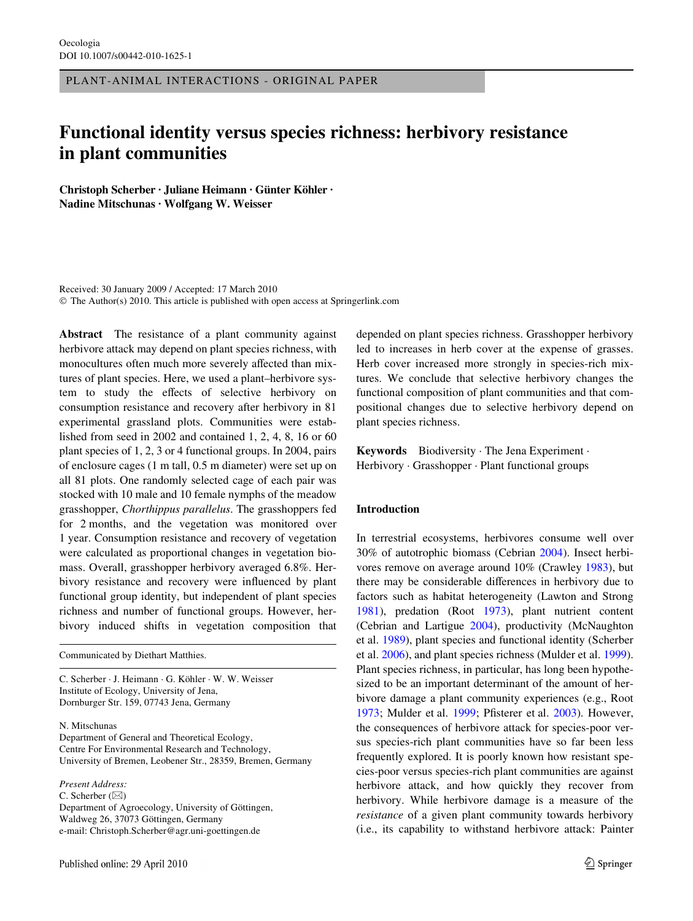PLANT-ANIMAL INTERACTIONS - ORIGINAL PAPER

# **Functional identity versus species richness: herbivory resistance in plant communities**

**Christoph Scherber · Juliane Heimann · Günter Köhler · Nadine Mitschunas · Wolfgang W. Weisser** 

Received: 30 January 2009 / Accepted: 17 March 2010 © The Author(s) 2010. This article is published with open access at Springerlink.com

**Abstract** The resistance of a plant community against herbivore attack may depend on plant species richness, with monocultures often much more severely affected than mixtures of plant species. Here, we used a plant–herbivore system to study the effects of selective herbivory on consumption resistance and recovery after herbivory in 81 experimental grassland plots. Communities were established from seed in 2002 and contained 1, 2, 4, 8, 16 or 60 plant species of 1, 2, 3 or 4 functional groups. In 2004, pairs of enclosure cages (1 m tall, 0.5 m diameter) were set up on all 81 plots. One randomly selected cage of each pair was stocked with 10 male and 10 female nymphs of the meadow grasshopper, *Chorthippus parallelus*. The grasshoppers fed for 2 months, and the vegetation was monitored over 1 year. Consumption resistance and recovery of vegetation were calculated as proportional changes in vegetation biomass. Overall, grasshopper herbivory averaged 6.8%. Herbivory resistance and recovery were influenced by plant functional group identity, but independent of plant species richness and number of functional groups. However, herbivory induced shifts in vegetation composition that

Communicated by Diethart Matthies.

C. Scherber · J. Heimann · G. Köhler · W. W. Weisser Institute of Ecology, University of Jena, Dornburger Str. 159, 07743 Jena, Germany

N. Mitschunas

Department of General and Theoretical Ecology, Centre For Environmental Research and Technology, University of Bremen, Leobener Str., 28359, Bremen, Germany

*Present Address:*

C. Scherber  $(\boxtimes)$ Department of Agroecology, University of Göttingen, Waldweg 26, 37073 Göttingen, Germany e-mail: Christoph.Scherber@agr.uni-goettingen.de

depended on plant species richness. Grasshopper herbivory led to increases in herb cover at the expense of grasses. Herb cover increased more strongly in species-rich mixtures. We conclude that selective herbivory changes the functional composition of plant communities and that compositional changes due to selective herbivory depend on plant species richness.

**Keywords** Biodiversity · The Jena Experiment · Herbivory · Grasshopper · Plant functional groups

# **Introduction**

In terrestrial ecosystems, herbivores consume well over 30% of autotrophic biomass (Cebrian [2004\)](#page-9-0). Insect herbivores remove on average around 10% (Crawley [1983\)](#page-9-1), but there may be considerable differences in herbivory due to factors such as habitat heterogeneity (Lawton and Strong [1981](#page-9-2)), predation (Root [1973](#page-9-3)), plant nutrient content (Cebrian and Lartigue [2004\)](#page-9-4), productivity (McNaughton et al. [1989](#page-9-5)), plant species and functional identity (Scherber et al. [2006\)](#page-10-0), and plant species richness (Mulder et al. [1999](#page-9-6)). Plant species richness, in particular, has long been hypothesized to be an important determinant of the amount of herbivore damage a plant community experiences (e.g., Root [1973](#page-9-3); Mulder et al. [1999;](#page-9-6) Pfisterer et al. [2003\)](#page-9-7). However, the consequences of herbivore attack for species-poor versus species-rich plant communities have so far been less frequently explored. It is poorly known how resistant species-poor versus species-rich plant communities are against herbivore attack, and how quickly they recover from herbivory. While herbivore damage is a measure of the *resistance* of a given plant community towards herbivory (i.e., its capability to withstand herbivore attack: Painter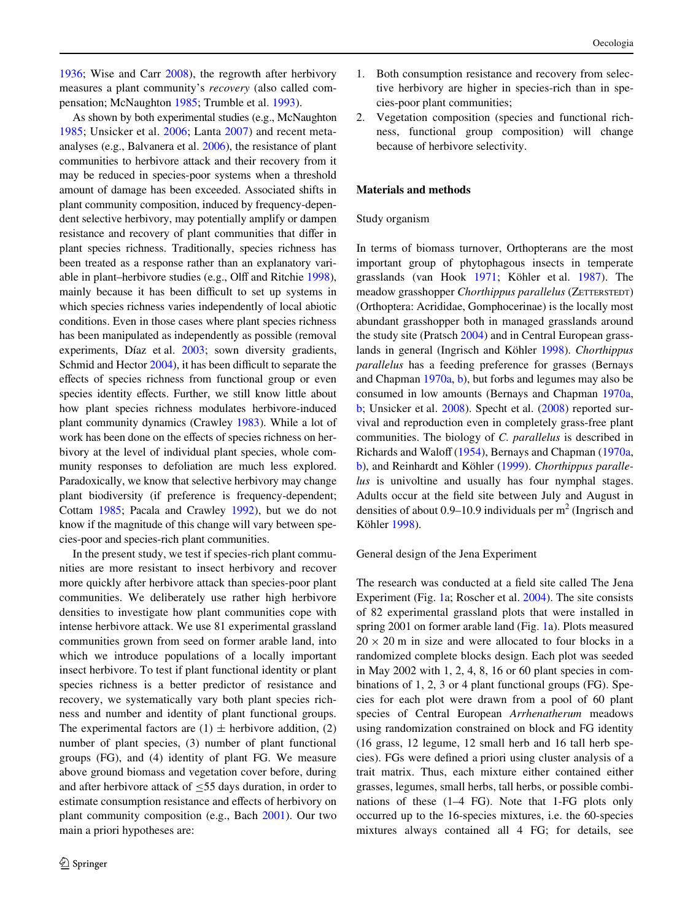[1936](#page-9-8); Wise and Carr [2008](#page-10-1)), the regrowth after herbivory measures a plant community's *recovery* (also called compensation; McNaughton [1985;](#page-9-9) Trumble et al. [1993\)](#page-10-2).

As shown by both experimental studies (e.g., McNaughton [1985](#page-9-9); Unsicker et al. [2006;](#page-10-3) Lanta [2007\)](#page-9-10) and recent metaanalyses (e.g., Balvanera et al. [2006\)](#page-9-11), the resistance of plant communities to herbivore attack and their recovery from it may be reduced in species-poor systems when a threshold amount of damage has been exceeded. Associated shifts in plant community composition, induced by frequency-dependent selective herbivory, may potentially amplify or dampen resistance and recovery of plant communities that differ in plant species richness. Traditionally, species richness has been treated as a response rather than an explanatory vari-able in plant–herbivore studies (e.g., Olff and Ritchie [1998](#page-9-12)), mainly because it has been difficult to set up systems in which species richness varies independently of local abiotic conditions. Even in those cases where plant species richness has been manipulated as independently as possible (removal experiments, Díaz et al. [2003;](#page-9-13) sown diversity gradients, Schmid and Hector [2004](#page-10-4)), it has been difficult to separate the effects of species richness from functional group or even species identity effects. Further, we still know little about how plant species richness modulates herbivore-induced plant community dynamics (Crawley [1983](#page-9-1)). While a lot of work has been done on the effects of species richness on herbivory at the level of individual plant species, whole community responses to defoliation are much less explored. Paradoxically, we know that selective herbivory may change plant biodiversity (if preference is frequency-dependent; Cottam [1985](#page-9-14); Pacala and Crawley [1992\)](#page-9-15), but we do not know if the magnitude of this change will vary between species-poor and species-rich plant communities.

In the present study, we test if species-rich plant communities are more resistant to insect herbivory and recover more quickly after herbivore attack than species-poor plant communities. We deliberately use rather high herbivore densities to investigate how plant communities cope with intense herbivore attack. We use 81 experimental grassland communities grown from seed on former arable land, into which we introduce populations of a locally important insect herbivore. To test if plant functional identity or plant species richness is a better predictor of resistance and recovery, we systematically vary both plant species richness and number and identity of plant functional groups. The experimental factors are  $(1) \pm$  herbivore addition,  $(2)$ number of plant species, (3) number of plant functional groups (FG), and (4) identity of plant FG. We measure above ground biomass and vegetation cover before, during and after herbivore attack of  $\leq$ 55 days duration, in order to estimate consumption resistance and effects of herbivory on plant community composition (e.g., Bach [2001](#page-9-16)). Our two main a priori hypotheses are:

- 1. Both consumption resistance and recovery from selective herbivory are higher in species-rich than in species-poor plant communities;
- 2. Vegetation composition (species and functional richness, functional group composition) will change because of herbivore selectivity.

## **Materials and methods**

#### Study organism

In terms of biomass turnover, Orthopterans are the most important group of phytophagous insects in temperate grasslands (van Hook [1971](#page-10-5); Köhler et al. [1987](#page-9-17)). The meadow grasshopper *Chorthippus parallelus* (ZETTERSTEDT) (Orthoptera: Acrididae, Gomphocerinae) is the locally most abundant grasshopper both in managed grasslands around the study site (Pratsch [2004\)](#page-9-18) and in Central European grasslands in general (Ingrisch and Köhler [1998\)](#page-9-19). *Chorthippus parallelus* has a feeding preference for grasses (Bernays and Chapman [1970a](#page-9-20), [b\)](#page-9-21), but forbs and legumes may also be consumed in low amounts (Bernays and Chapman [1970a,](#page-9-20) [b](#page-9-21); Unsicker et al. [2008](#page-10-6)). Specht et al. [\(2008](#page-10-7)) reported survival and reproduction even in completely grass-free plant communities. The biology of *C. parallelus* is described in Richards and Waloff [\(1954\)](#page-9-22), Bernays and Chapman [\(1970a,](#page-9-20) [b](#page-9-21)), and Reinhardt and Köhler ([1999\)](#page-9-23). *Chorthippus parallelus* is univoltine and usually has four nymphal stages. Adults occur at the field site between July and August in densities of about 0.9–10.9 individuals per  $m^2$  (Ingrisch and Köhler [1998](#page-9-19)).

#### General design of the Jena Experiment

The research was conducted at a field site called The Jena Experiment (Fig. [1](#page-8-0)a; Roscher et al. [2004](#page-10-8)). The site consists of 82 experimental grassland plots that were installed in spring 2001 on former arable land (Fig. [1a](#page-8-0)). Plots measured  $20 \times 20$  m in size and were allocated to four blocks in a randomized complete blocks design. Each plot was seeded in May 2002 with 1, 2, 4, 8, 16 or 60 plant species in combinations of 1, 2, 3 or 4 plant functional groups (FG). Species for each plot were drawn from a pool of 60 plant species of Central European *Arrhenatherum* meadows using randomization constrained on block and FG identity (16 grass, 12 legume, 12 small herb and 16 tall herb species). FGs were defined a priori using cluster analysis of a trait matrix. Thus, each mixture either contained either grasses, legumes, small herbs, tall herbs, or possible combinations of these (1–4 FG). Note that 1-FG plots only occurred up to the 16-species mixtures, i.e. the 60-species mixtures always contained all 4 FG; for details, see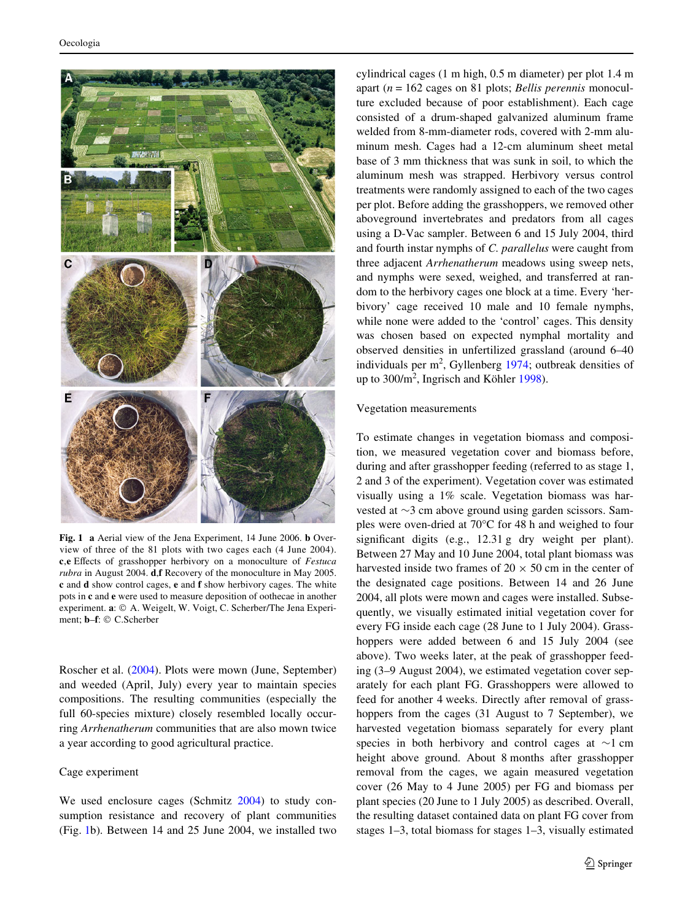

<span id="page-2-0"></span>**Fig. 1 a** Aerial view of the Jena Experiment, 14 June 2006. **b** Overview of three of the 81 plots with two cages each (4 June 2004). **c**, **e** Effects of grasshopper herbivory on a monoculture of *Festuca rubra* in August 2004. **d**,**f** Recovery of the monoculture in May 2005. **c** and **d** show control cages, **e** and **f** show herbivory cages. The white pots in **c** and **e** were used to measure deposition of oothecae in another experiment. **a**: © A. Weigelt, W. Voigt, C. Scherber/The Jena Experiment; **b**–**f**: © C.Scherber

Roscher et al. ([2004\)](#page-10-8). Plots were mown (June, September) and weeded (April, July) every year to maintain species compositions. The resulting communities (especially the full 60-species mixture) closely resembled locally occurring *Arrhenatherum* communities that are also mown twice a year according to good agricultural practice.

#### Cage experiment

We used enclosure cages (Schmitz [2004](#page-10-9)) to study consumption resistance and recovery of plant communities (Fig. [1b](#page-8-0)). Between 14 and 25 June 2004, we installed two cylindrical cages (1 m high, 0.5 m diameter) per plot 1.4 m apart (*n* = 162 cages on 81 plots; *Bellis perennis* monoculture excluded because of poor establishment). Each cage consisted of a drum-shaped galvanized aluminum frame welded from 8-mm-diameter rods, covered with 2-mm aluminum mesh. Cages had a 12-cm aluminum sheet metal base of 3 mm thickness that was sunk in soil, to which the aluminum mesh was strapped. Herbivory versus control treatments were randomly assigned to each of the two cages per plot. Before adding the grasshoppers, we removed other aboveground invertebrates and predators from all cages using a D-Vac sampler. Between 6 and 15 July 2004, third and fourth instar nymphs of *C. parallelus* were caught from three adjacent *Arrhenatherum* meadows using sweep nets, and nymphs were sexed, weighed, and transferred at random to the herbivory cages one block at a time. Every 'herbivory' cage received 10 male and 10 female nymphs, while none were added to the 'control' cages. This density was chosen based on expected nymphal mortality and observed densities in unfertilized grassland (around 6–40 individuals per  $m^2$ , Gyllenberg [1974](#page-9-24); outbreak densities of up to 300/m<sup>2</sup>, Ingrisch and Köhler [1998](#page-9-19)).

#### Vegetation measurements

To estimate changes in vegetation biomass and composition, we measured vegetation cover and biomass before, during and after grasshopper feeding (referred to as stage 1, 2 and 3 of the experiment). Vegetation cover was estimated visually using a 1% scale. Vegetation biomass was harvested at  $\sim$ 3 cm above ground using garden scissors. Samples were oven-dried at 70°C for 48 h and weighed to four significant digits (e.g.,  $12.31$  g dry weight per plant). Between 27 May and 10 June 2004, total plant biomass was harvested inside two frames of  $20 \times 50$  cm in the center of the designated cage positions. Between 14 and 26 June 2004, all plots were mown and cages were installed. Subsequently, we visually estimated initial vegetation cover for every FG inside each cage (28 June to 1 July 2004). Grasshoppers were added between 6 and 15 July 2004 (see above). Two weeks later, at the peak of grasshopper feeding (3–9 August 2004), we estimated vegetation cover separately for each plant FG. Grasshoppers were allowed to feed for another 4 weeks. Directly after removal of grasshoppers from the cages (31 August to 7 September), we harvested vegetation biomass separately for every plant species in both herbivory and control cages at  $\sim$ 1 cm height above ground. About 8 months after grasshopper removal from the cages, we again measured vegetation cover (26 May to 4 June 2005) per FG and biomass per plant species (20 June to 1 July 2005) as described. Overall, the resulting dataset contained data on plant FG cover from stages 1–3, total biomass for stages 1–3, visually estimated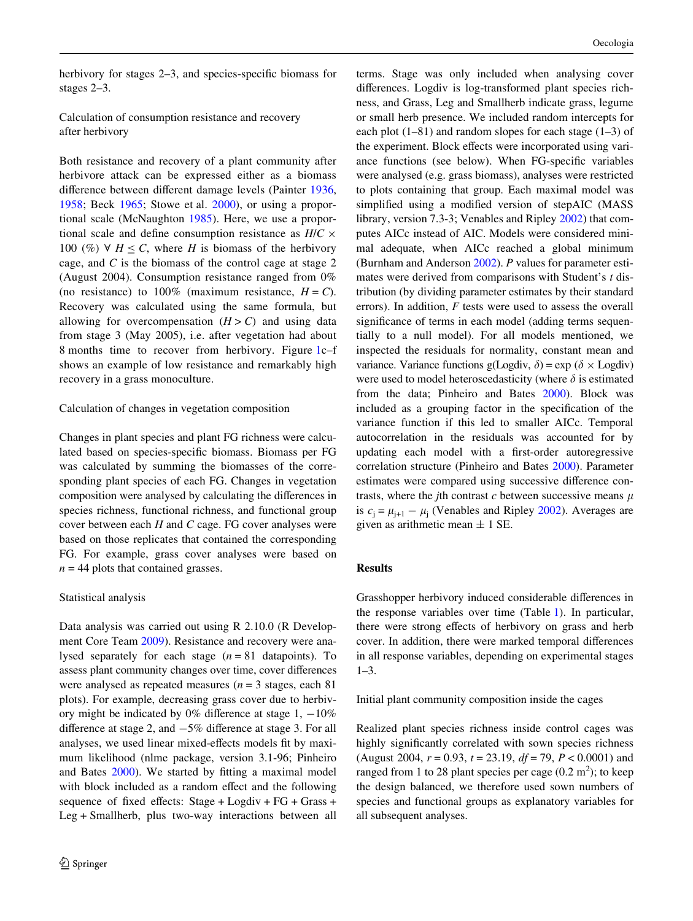herbivory for stages  $2-3$ , and species-specific biomass for stages 2–3.

Calculation of consumption resistance and recovery after herbivory

Both resistance and recovery of a plant community after herbivore attack can be expressed either as a biomass difference between different damage levels (Painter [1936,](#page-9-8) [1958](#page-9-25); Beck [1965;](#page-9-26) Stowe et al. [2000](#page-10-10)), or using a proportional scale (McNaughton [1985\)](#page-9-9). Here, we use a proportional scale and define consumption resistance as  $H/C \times$ 100 (%)  $\forall$  *H*  $\leq$  *C*, where *H* is biomass of the herbivory cage, and *C* is the biomass of the control cage at stage 2 (August 2004). Consumption resistance ranged from 0% (no resistance) to  $100\%$  (maximum resistance,  $H = C$ ). Recovery was calculated using the same formula, but allowing for overcompensation  $(H > C)$  and using data from stage 3 (May 2005), i.e. after vegetation had about 8 months time to recover from herbivory. Figure [1](#page-8-0)c–f shows an example of low resistance and remarkably high recovery in a grass monoculture.

## Calculation of changes in vegetation composition

Changes in plant species and plant FG richness were calculated based on species-specific biomass. Biomass per FG was calculated by summing the biomasses of the corresponding plant species of each FG. Changes in vegetation composition were analysed by calculating the differences in species richness, functional richness, and functional group cover between each *H* and *C* cage. FG cover analyses were based on those replicates that contained the corresponding FG. For example, grass cover analyses were based on  $n = 44$  plots that contained grasses.

#### Statistical analysis

Data analysis was carried out using R 2.10.0 (R Development Core Team [2009](#page-9-27)). Resistance and recovery were analysed separately for each stage  $(n = 81$  datapoints). To assess plant community changes over time, cover differences were analysed as repeated measures (*n* = 3 stages, each 81 plots). For example, decreasing grass cover due to herbivory might be indicated by 0% difference at stage  $1, -10\%$ difference at stage 2, and  $-5\%$  difference at stage 3. For all analyses, we used linear mixed-effects models fit by maximum likelihood (nlme package, version 3.1-96; Pinheiro and Bates  $2000$ ). We started by fitting a maximal model with block included as a random effect and the following sequence of fixed effects: Stage + Logdiv +  $FG + Grass +$ Leg + Smallherb, plus two-way interactions between all terms. Stage was only included when analysing cover differences. Logdiv is log-transformed plant species richness, and Grass, Leg and Smallherb indicate grass, legume or small herb presence. We included random intercepts for each plot (1–81) and random slopes for each stage (1–3) of the experiment. Block effects were incorporated using variance functions (see below). When FG-specific variables were analysed (e.g. grass biomass), analyses were restricted to plots containing that group. Each maximal model was simplified using a modified version of stepAIC (MASS) library, version 7.3-3; Venables and Ripley [2002\)](#page-10-11) that computes AICc instead of AIC. Models were considered minimal adequate, when AICc reached a global minimum (Burnham and Anderson [2002\)](#page-9-29). *P* values for parameter estimates were derived from comparisons with Student's *t* distribution (by dividing parameter estimates by their standard errors). In addition, *F* tests were used to assess the overall significance of terms in each model (adding terms sequentially to a null model). For all models mentioned, we inspected the residuals for normality, constant mean and variance. Variance functions  $g(\text{Logdiv}, \delta) = \exp(\delta \times \text{Logdiv})$ were used to model heteroscedasticity (where  $\delta$  is estimated from the data; Pinheiro and Bates [2000](#page-9-28)). Block was included as a grouping factor in the specification of the variance function if this led to smaller AICc. Temporal autocorrelation in the residuals was accounted for by updating each model with a first-order autoregressive correlation structure (Pinheiro and Bates [2000\)](#page-9-28). Parameter estimates were compared using successive difference contrasts, where the *j*th contrast  $c$  between successive means  $\mu$ is  $c_j = \mu_{j+1} - \mu_j$  (Venables and Ripley [2002](#page-10-11)). Averages are given as arithmetic mean  $\pm$  1 SE.

## **Results**

Grasshopper herbivory induced considerable differences in the response variables over time (Table [1](#page-4-0)). In particular, there were strong effects of herbivory on grass and herb cover. In addition, there were marked temporal differences in all response variables, depending on experimental stages  $1 - 3$ .

Initial plant community composition inside the cages

Realized plant species richness inside control cages was highly significantly correlated with sown species richness (August 2004, *r* = 0.93, *t* = 23.19, *df* = 79, *P* < 0.0001) and ranged from 1 to 28 plant species per cage  $(0.2 \text{ m}^2)$ ; to keep the design balanced, we therefore used sown numbers of species and functional groups as explanatory variables for all subsequent analyses.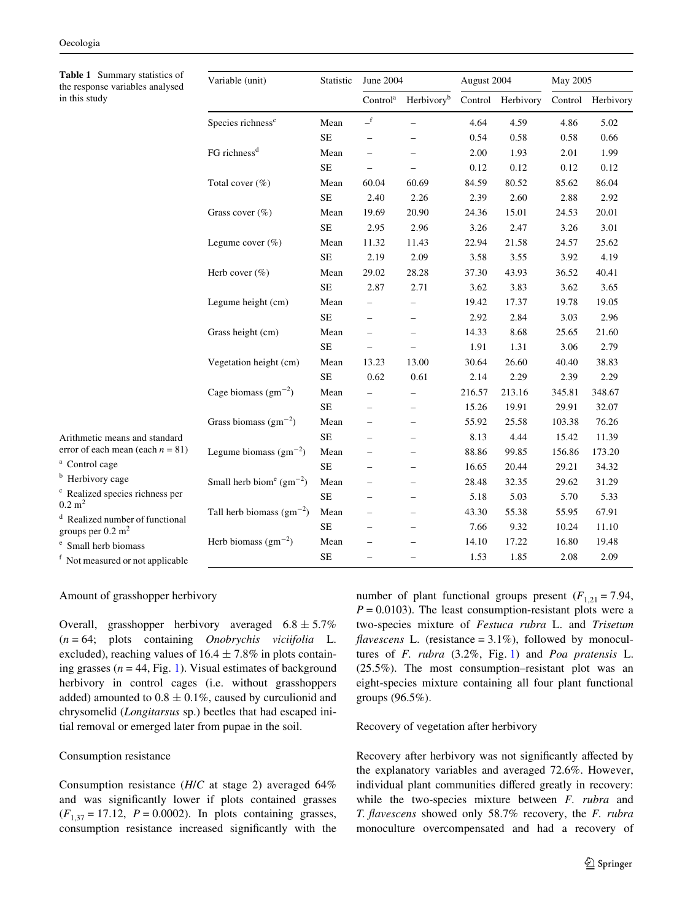<span id="page-4-0"></span>

| Table 1 Summary statistics of<br>the response variables analysed                                                                                                             | Variable (unit)                                  | Statistic | June 2004                |                          | August 2004 |                   | May 2005 |                   |
|------------------------------------------------------------------------------------------------------------------------------------------------------------------------------|--------------------------------------------------|-----------|--------------------------|--------------------------|-------------|-------------------|----------|-------------------|
| in this study                                                                                                                                                                |                                                  |           | Control <sup>a</sup>     | Herbivory <sup>b</sup>   |             | Control Herbivory |          | Control Herbivory |
|                                                                                                                                                                              | Species richness <sup>c</sup>                    | Mean      | $\_^{\rm f}$             | L.                       | 4.64        | 4.59              | 4.86     | 5.02              |
|                                                                                                                                                                              |                                                  | <b>SE</b> |                          |                          | 0.54        | 0.58              | 0.58     | 0.66              |
|                                                                                                                                                                              | FG richness <sup>d</sup>                         | Mean      |                          |                          | 2.00        | 1.93              | 2.01     | 1.99              |
|                                                                                                                                                                              |                                                  | <b>SE</b> |                          |                          | 0.12        | 0.12              | 0.12     | 0.12              |
|                                                                                                                                                                              | Total cover $(\%)$                               | Mean      | 60.04                    | 60.69                    | 84.59       | 80.52             | 85.62    | 86.04             |
|                                                                                                                                                                              |                                                  | $\rm SE$  | 2.40                     | 2.26                     | 2.39        | 2.60              | 2.88     | 2.92              |
|                                                                                                                                                                              | Grass cover (%)                                  | Mean      | 19.69                    | 20.90                    | 24.36       | 15.01             | 24.53    | 20.01             |
|                                                                                                                                                                              |                                                  | <b>SE</b> | 2.95                     | 2.96                     | 3.26        | 2.47              | 3.26     | 3.01              |
|                                                                                                                                                                              | Legume cover $(\% )$                             | Mean      | 11.32                    | 11.43                    | 22.94       | 21.58             | 24.57    | 25.62             |
|                                                                                                                                                                              |                                                  | <b>SE</b> | 2.19                     | 2.09                     | 3.58        | 3.55              | 3.92     | 4.19              |
|                                                                                                                                                                              | Herb cover $(\%)$                                | Mean      | 29.02                    | 28.28                    | 37.30       | 43.93             | 36.52    | 40.41             |
|                                                                                                                                                                              |                                                  | <b>SE</b> | 2.87                     | 2.71                     | 3.62        | 3.83              | 3.62     | 3.65              |
|                                                                                                                                                                              | Legume height (cm)                               | Mean      |                          |                          | 19.42       | 17.37             | 19.78    | 19.05             |
|                                                                                                                                                                              |                                                  | $\rm SE$  | $\overline{\phantom{0}}$ | $\overline{\phantom{0}}$ | 2.92        | 2.84              | 3.03     | 2.96              |
|                                                                                                                                                                              | Grass height (cm)                                | Mean      | $\overline{\phantom{0}}$ | $\overline{\phantom{0}}$ | 14.33       | 8.68              | 25.65    | 21.60             |
|                                                                                                                                                                              |                                                  | <b>SE</b> | $\equiv$                 | $\overline{\phantom{0}}$ | 1.91        | 1.31              | 3.06     | 2.79              |
|                                                                                                                                                                              | Vegetation height (cm)                           | Mean      | 13.23                    | 13.00                    | 30.64       | 26.60             | 40.40    | 38.83             |
|                                                                                                                                                                              |                                                  | <b>SE</b> | 0.62                     | 0.61                     | 2.14        | 2.29              | 2.39     | 2.29              |
|                                                                                                                                                                              | Cage biomass $(gm^{-2})$                         | Mean      | $\overline{\phantom{0}}$ |                          | 216.57      | 213.16            | 345.81   | 348.67            |
|                                                                                                                                                                              |                                                  | <b>SE</b> |                          |                          | 15.26       | 19.91             | 29.91    | 32.07             |
|                                                                                                                                                                              | Grass biomass $(gm^{-2})$                        | Mean      |                          |                          | 55.92       | 25.58             | 103.38   | 76.26             |
| Arithmetic means and standard                                                                                                                                                |                                                  | <b>SE</b> |                          |                          | 8.13        | 4.44              | 15.42    | 11.39             |
| error of each mean (each $n = 81$ )                                                                                                                                          | Legume biomass $(gm^{-2})$                       | Mean      |                          |                          | 88.86       | 99.85             | 156.86   | 173.20            |
| <sup>a</sup> Control cage                                                                                                                                                    |                                                  | <b>SE</b> | $\overline{\phantom{0}}$ | $\equiv$                 | 16.65       | 20.44             | 29.21    | 34.32             |
| <sup>b</sup> Herbivory cage<br><sup>c</sup> Realized species richness per<br>$0.2 \text{ m}^2$<br><sup>d</sup> Realized number of functional<br>groups per $0.2 \text{ m}^2$ | Small herb biom <sup>e</sup> (gm <sup>-2</sup> ) | Mean      | $\overline{\phantom{0}}$ | $\equiv$                 | 28.48       | 32.35             | 29.62    | 31.29             |
|                                                                                                                                                                              |                                                  | <b>SE</b> |                          | $\overline{\phantom{0}}$ | 5.18        | 5.03              | 5.70     | 5.33              |
|                                                                                                                                                                              | Tall herb biomass $(gm^{-2})$                    | Mean      |                          |                          | 43.30       | 55.38             | 55.95    | 67.91             |
|                                                                                                                                                                              |                                                  | <b>SE</b> |                          | -                        | 7.66        | 9.32              | 10.24    | 11.10             |
| <sup>e</sup> Small herb biomass                                                                                                                                              | Herb biomass $(gm^{-2})$                         | Mean      |                          |                          | 14.10       | 17.22             | 16.80    | 19.48             |
| <sup>f</sup> Not measured or not applicable                                                                                                                                  |                                                  | <b>SE</b> |                          |                          | 1.53        | 1.85              | 2.08     | 2.09              |

## Amount of grasshopper herbivory

Overall, grasshopper herbivory averaged  $6.8 \pm 5.7\%$ (*n* = 64; plots containing *Onobrychis viciifolia* L. excluded), reaching values of  $16.4 \pm 7.8\%$  in plots containing grasses ( $n = 44$ , Fig. [1\)](#page-8-0). Visual estimates of background herbivory in control cages (i.e. without grasshoppers added) amounted to  $0.8 \pm 0.1\%$ , caused by curculionid and chrysomelid (*Longitarsus* sp.) beetles that had escaped initial removal or emerged later from pupae in the soil.

# Consumption resistance

Consumption resistance (*H*/*C* at stage 2) averaged 64% and was significantly lower if plots contained grasses  $(F_{1,37} = 17.12, P = 0.0002)$ . In plots containing grasses, consumption resistance increased significantly with the number of plant functional groups present  $(F_{1,21} = 7.94,$  $P = 0.0103$ ). The least consumption-resistant plots were a two-species mixture of *Festuca rubra* L. and *Trisetum flavescens* L. (resistance =  $3.1\%$ ), followed by monocultures of *F. rubra* (3.2%, Fig. [1](#page-8-0)) and *Poa pratensis* L. (25.5%). The most consumption–resistant plot was an eight-species mixture containing all four plant functional groups (96.5%).

#### Recovery of vegetation after herbivory

Recovery after herbivory was not significantly affected by the explanatory variables and averaged 72.6%. However, individual plant communities differed greatly in recovery: while the two-species mixture between *F. rubra* and *T. flavescens* showed only 58.7% recovery, the *F. rubra* monoculture overcompensated and had a recovery of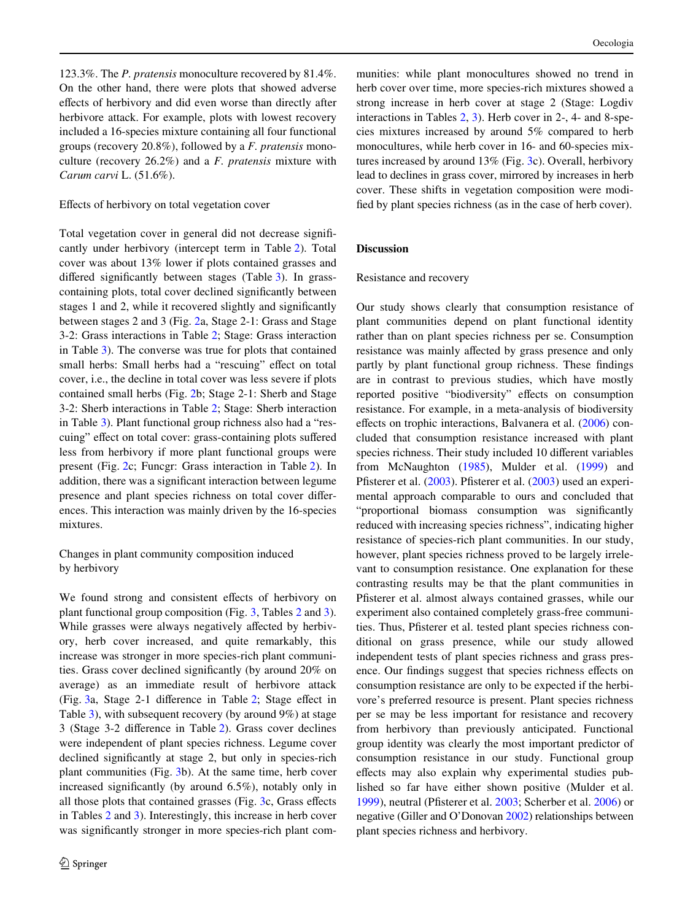123.3%. The *P. pratensis* monoculture recovered by 81.4%. On the other hand, there were plots that showed adverse effects of herbivory and did even worse than directly after herbivore attack. For example, plots with lowest recovery included a 16-species mixture containing all four functional groups (recovery 20.8%), followed by a *F. pratensis* monoculture (recovery 26.2%) and a *F. pratensis* mixture with *Carum carvi* L. (51.6%).

#### Effects of herbivory on total vegetation cover

Total vegetation cover in general did not decrease significantly under herbivory (intercept term in Table [2\)](#page-6-0). Total cover was about 13% lower if plots contained grasses and differed significantly between stages (Table  $3$ ). In grasscontaining plots, total cover declined significantly between stages 1 and 2, while it recovered slightly and significantly between stages 2 and 3 (Fig. [2](#page-2-0)a, Stage 2-1: Grass and Stage 3-2: Grass interactions in Table [2;](#page-6-0) Stage: Grass interaction in Table [3](#page-7-0)). The converse was true for plots that contained small herbs: Small herbs had a "rescuing" effect on total cover, i.e., the decline in total cover was less severe if plots contained small herbs (Fig. [2b](#page-2-0); Stage 2-1: Sherb and Stage 3-2: Sherb interactions in Table [2;](#page-6-0) Stage: Sherb interaction in Table [3\)](#page-7-0). Plant functional group richness also had a "rescuing" effect on total cover: grass-containing plots suffered less from herbivory if more plant functional groups were present (Fig. [2](#page-2-0)c; Funcgr: Grass interaction in Table [2](#page-6-0)). In addition, there was a significant interaction between legume presence and plant species richness on total cover differences. This interaction was mainly driven by the 16-species mixtures.

Changes in plant community composition induced by herbivory

We found strong and consistent effects of herbivory on plant functional group composition (Fig. [3](#page-7-1), Tables [2](#page-6-0) and [3](#page-7-0)). While grasses were always negatively affected by herbivory, herb cover increased, and quite remarkably, this increase was stronger in more species-rich plant communities. Grass cover declined significantly (by around 20% on average) as an immediate result of herbivore attack (Fig.  $3a$ , Stage 2-1 difference in Table [2;](#page-6-0) Stage effect in Table [3](#page-7-0)), with subsequent recovery (by around 9%) at stage  $3$  (Stage  $3-2$  $3-2$  difference in Table 2). Grass cover declines were independent of plant species richness. Legume cover declined significantly at stage 2, but only in species-rich plant communities (Fig. [3b](#page-7-1)). At the same time, herb cover increased significantly (by around  $6.5\%$ ), notably only in all those plots that contained grasses (Fig.  $3c$  $3c$ , Grass effects in Tables [2](#page-6-0) and [3](#page-7-0)). Interestingly, this increase in herb cover was significantly stronger in more species-rich plant communities: while plant monocultures showed no trend in herb cover over time, more species-rich mixtures showed a strong increase in herb cover at stage 2 (Stage: Logdiv interactions in Tables [2](#page-6-0), [3\)](#page-7-0). Herb cover in 2-, 4- and 8-species mixtures increased by around 5% compared to herb monocultures, while herb cover in 16- and 60-species mixtures increased by around 13% (Fig. [3c](#page-7-1)). Overall, herbivory lead to declines in grass cover, mirrored by increases in herb cover. These shifts in vegetation composition were modified by plant species richness (as in the case of herb cover).

# **Discussion**

#### Resistance and recovery

Our study shows clearly that consumption resistance of plant communities depend on plant functional identity rather than on plant species richness per se. Consumption resistance was mainly affected by grass presence and only partly by plant functional group richness. These findings are in contrast to previous studies, which have mostly reported positive "biodiversity" effects on consumption resistance. For example, in a meta-analysis of biodiversity effects on trophic interactions, Balvanera et al.  $(2006)$  $(2006)$  concluded that consumption resistance increased with plant species richness. Their study included 10 different variables from McNaughton [\(1985](#page-9-9)), Mulder et al. ([1999\)](#page-9-6) and Pfisterer et al. [\(2003](#page-9-7)). Pfisterer et al. (2003) used an experimental approach comparable to ours and concluded that "proportional biomass consumption was significantly reduced with increasing species richness", indicating higher resistance of species-rich plant communities. In our study, however, plant species richness proved to be largely irrelevant to consumption resistance. One explanation for these contrasting results may be that the plant communities in Pfisterer et al. almost always contained grasses, while our experiment also contained completely grass-free communities. Thus, Pfisterer et al. tested plant species richness conditional on grass presence, while our study allowed independent tests of plant species richness and grass presence. Our findings suggest that species richness effects on consumption resistance are only to be expected if the herbivore's preferred resource is present. Plant species richness per se may be less important for resistance and recovery from herbivory than previously anticipated. Functional group identity was clearly the most important predictor of consumption resistance in our study. Functional group effects may also explain why experimental studies published so far have either shown positive (Mulder et al. [1999](#page-9-6)), neutral (Pfisterer et al.  $2003$ ; Scherber et al.  $2006$ ) or negative (Giller and O'Donovan [2002](#page-9-30)) relationships between plant species richness and herbivory.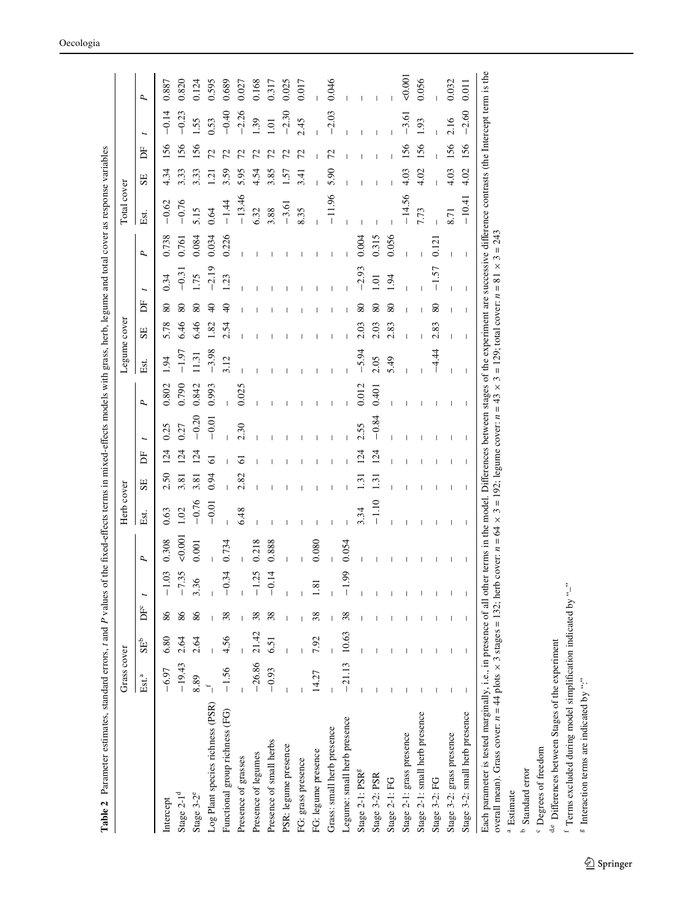| P,<br>$-0.20$<br>$-0.84$<br>$-0.01$<br>2.30<br>0.25<br>2.55<br>0.27<br>$\overline{24}$<br>124<br>124<br>$\overline{24}$<br>124<br>Ë<br>ಠ<br>Ō<br>0.94<br>2.82<br>2.50<br>3.81<br>3.81<br>$\overline{131}$<br>$\overline{3}$<br>SE<br>$-0.76$<br>$-1.10$<br>$-0.01$<br>6.48<br>3.34<br>0.63<br>1.02<br>Est.<br>50,001<br>0.308<br>0.734<br>0.218<br>0.888<br>0.054<br>0.080<br>0.001<br>P.<br>$-1.03$<br>$-0.14$<br>$-7.35$<br>$-1.25$<br>$-0.34$<br>$-1.99$<br>36<br>$\bf 81$<br>ĎЕ<br>86<br>86<br>86<br>38<br>38<br>38<br>21.42<br>10.63<br>4.56<br>7.92<br>6.80<br>2.64<br>2.64<br>6.51<br>SE <sup>b</sup><br>$-26.86$<br>$-21.13$<br>$-19.43$<br>$-1.56$<br>$-6.97$<br>$-0.93$<br>14.27<br>Est. <sup>a</sup><br>8.89<br>Log Plant species richness (PSR)<br>Functional group richness (FG)<br>Legume: small herb presence<br>Grass: small herb presence<br>Presence of small herbs<br>PSR: legume presence<br>FG: legume presence<br>Presence of legumes<br>Presence of grasses<br>FG: grass presence<br>Stage 2-1: PSR <sup>g</sup><br>Stage 3-2: PSR<br>Stage $2-1d$<br>Stage 3-2 <sup>e</sup><br>Intercept |  |       |                |      |                        |                  |             |                |     |         |        |
|------------------------------------------------------------------------------------------------------------------------------------------------------------------------------------------------------------------------------------------------------------------------------------------------------------------------------------------------------------------------------------------------------------------------------------------------------------------------------------------------------------------------------------------------------------------------------------------------------------------------------------------------------------------------------------------------------------------------------------------------------------------------------------------------------------------------------------------------------------------------------------------------------------------------------------------------------------------------------------------------------------------------------------------------------------------------------------------------------------------|--|-------|----------------|------|------------------------|------------------|-------------|----------------|-----|---------|--------|
|                                                                                                                                                                                                                                                                                                                                                                                                                                                                                                                                                                                                                                                                                                                                                                                                                                                                                                                                                                                                                                                                                                                  |  |       | Est.           | SE   | Б                      | $\mathbf{p}$     | Est.        | SE             | Ĕ   |         | ρ.     |
|                                                                                                                                                                                                                                                                                                                                                                                                                                                                                                                                                                                                                                                                                                                                                                                                                                                                                                                                                                                                                                                                                                                  |  | 0.802 | $\overline{5}$ | 5.78 | 0.34<br>80             | 0.738            | $-0.62$     | 4.34           | 156 | $-0.14$ | 0.887  |
|                                                                                                                                                                                                                                                                                                                                                                                                                                                                                                                                                                                                                                                                                                                                                                                                                                                                                                                                                                                                                                                                                                                  |  | 0.790 | $-1.97$        | 6.46 | 80                     | 0.761<br>$-0.31$ | $-0.76$     | 3.33           | 56  | $-0.23$ | 0.820  |
|                                                                                                                                                                                                                                                                                                                                                                                                                                                                                                                                                                                                                                                                                                                                                                                                                                                                                                                                                                                                                                                                                                                  |  | 0.842 | 11.31          | 6.46 | <b>1.75</b><br>80      | 0.084            | $\ddot{15}$ | 3.33           | 56  | .55     | 0.124  |
|                                                                                                                                                                                                                                                                                                                                                                                                                                                                                                                                                                                                                                                                                                                                                                                                                                                                                                                                                                                                                                                                                                                  |  | 0.993 | $-3.98$        | 1.82 | $\overline{6}$         | 0.034<br>$-2.19$ | 0.64        | 1.21           |     | 0.53    | 0.595  |
|                                                                                                                                                                                                                                                                                                                                                                                                                                                                                                                                                                                                                                                                                                                                                                                                                                                                                                                                                                                                                                                                                                                  |  |       | 3.12           | 2.54 | $\ddot{c}$<br>$\theta$ | 0.226            | $-1.44$     | 3.59           |     | $-0.40$ | 0.689  |
|                                                                                                                                                                                                                                                                                                                                                                                                                                                                                                                                                                                                                                                                                                                                                                                                                                                                                                                                                                                                                                                                                                                  |  | 0.025 |                |      |                        |                  | $-13.46$    | 5.95           |     | $-2.26$ | 0.02   |
|                                                                                                                                                                                                                                                                                                                                                                                                                                                                                                                                                                                                                                                                                                                                                                                                                                                                                                                                                                                                                                                                                                                  |  |       |                |      |                        |                  | 6.32        | 4.54           |     | 39      | 0.168  |
|                                                                                                                                                                                                                                                                                                                                                                                                                                                                                                                                                                                                                                                                                                                                                                                                                                                                                                                                                                                                                                                                                                                  |  |       |                |      |                        |                  | 3.88        | 3.85           |     | ā       | 0.317  |
|                                                                                                                                                                                                                                                                                                                                                                                                                                                                                                                                                                                                                                                                                                                                                                                                                                                                                                                                                                                                                                                                                                                  |  |       |                |      |                        |                  | $-3.61$     | $\overline{5}$ |     | $-2.30$ | 0.025  |
|                                                                                                                                                                                                                                                                                                                                                                                                                                                                                                                                                                                                                                                                                                                                                                                                                                                                                                                                                                                                                                                                                                                  |  |       |                |      |                        |                  | 8.35        | 3.41           |     | 2.45    | 0.017  |
|                                                                                                                                                                                                                                                                                                                                                                                                                                                                                                                                                                                                                                                                                                                                                                                                                                                                                                                                                                                                                                                                                                                  |  |       |                |      |                        |                  |             |                |     |         |        |
|                                                                                                                                                                                                                                                                                                                                                                                                                                                                                                                                                                                                                                                                                                                                                                                                                                                                                                                                                                                                                                                                                                                  |  |       |                |      |                        |                  | $-11.96$    | 5.90           | 72  | $-2.03$ | 0.046  |
|                                                                                                                                                                                                                                                                                                                                                                                                                                                                                                                                                                                                                                                                                                                                                                                                                                                                                                                                                                                                                                                                                                                  |  |       |                |      |                        |                  |             |                |     |         |        |
|                                                                                                                                                                                                                                                                                                                                                                                                                                                                                                                                                                                                                                                                                                                                                                                                                                                                                                                                                                                                                                                                                                                  |  | 0.012 | $-5.94$        | 2.03 |                        | 0.004<br>.2.93   |             |                |     |         |        |
|                                                                                                                                                                                                                                                                                                                                                                                                                                                                                                                                                                                                                                                                                                                                                                                                                                                                                                                                                                                                                                                                                                                  |  | 0.401 | 2.05           | 2.03 | 1.01<br>80             | 0.315            |             |                |     |         |        |
| Stage 2-1: FG                                                                                                                                                                                                                                                                                                                                                                                                                                                                                                                                                                                                                                                                                                                                                                                                                                                                                                                                                                                                                                                                                                    |  |       | 5.49           | 2.83 | 1.94<br>80             | 0.056            |             |                |     |         |        |
| Stage 2-1: grass presence                                                                                                                                                                                                                                                                                                                                                                                                                                                                                                                                                                                                                                                                                                                                                                                                                                                                                                                                                                                                                                                                                        |  |       |                |      |                        |                  | $-14.56$    | 4.03           | 56  | $-3.61$ | 50.001 |
| Stage 2-1: small herb presence                                                                                                                                                                                                                                                                                                                                                                                                                                                                                                                                                                                                                                                                                                                                                                                                                                                                                                                                                                                                                                                                                   |  |       |                |      |                        |                  | 7.73        | 4.02           | 156 | 1.93    | 0.056  |
| Stage 3-2: FG                                                                                                                                                                                                                                                                                                                                                                                                                                                                                                                                                                                                                                                                                                                                                                                                                                                                                                                                                                                                                                                                                                    |  |       | -4.44          | 2.83 | 80                     | 0.121<br>1.57    |             |                |     |         |        |
| Stage 3-2: grass presence                                                                                                                                                                                                                                                                                                                                                                                                                                                                                                                                                                                                                                                                                                                                                                                                                                                                                                                                                                                                                                                                                        |  |       |                |      |                        |                  | 8.71        | 4.03           | 156 | 2.16    | 0.032  |
| I<br>I<br>т<br>I<br>Stage 3-2: small herb presence                                                                                                                                                                                                                                                                                                                                                                                                                                                                                                                                                                                                                                                                                                                                                                                                                                                                                                                                                                                                                                                               |  |       | T              | T    | т                      | I                | $-10.41$    | 4.02           | 156 | $-2.60$ | 0.011  |

<span id="page-6-0"></span> $^{\rm b}$  Standard error Standard error

<sup>c</sup> Degrees of freedom

d,e Differences between Stages of the experiment d,e Differences between Stages of the experiment Degrees of freedom

 $^{\rm f}$  Terms excluded during model simplification indicated by "–"  $\text{I}$  Terms excluded during model simplification indicated by " $\text{-}$ "

 $^{\rm g}$  Interaction terms are indicated by ":" <sup>8</sup> Interaction terms are indicated by ":"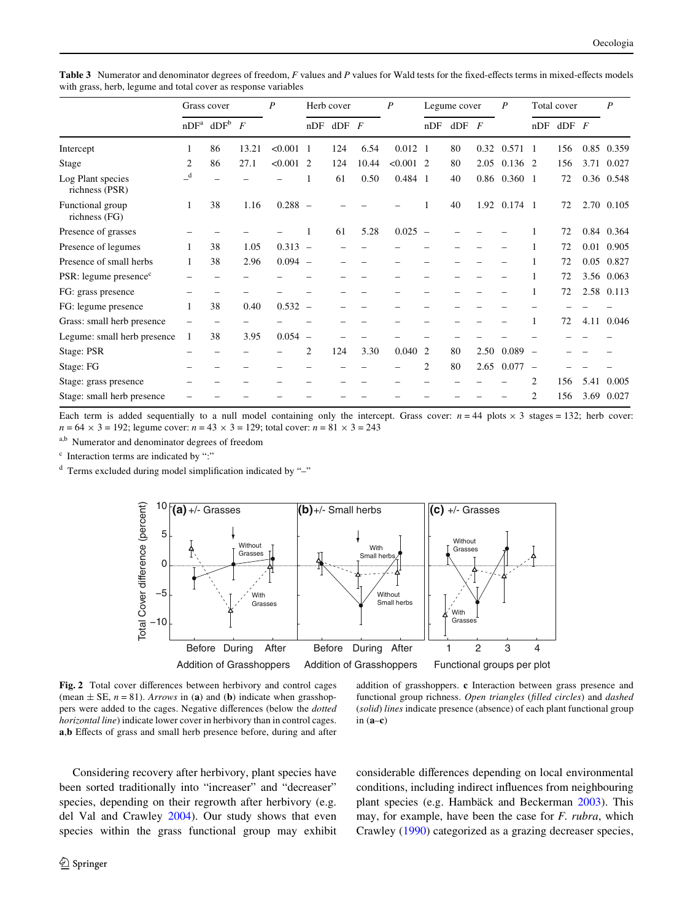|                                     | Grass cover  |                              | P     | Herb cover  |                |         | $\boldsymbol{P}$ |                 | Legume cover   |        | P              | Total cover     |                          |           | P    |            |
|-------------------------------------|--------------|------------------------------|-------|-------------|----------------|---------|------------------|-----------------|----------------|--------|----------------|-----------------|--------------------------|-----------|------|------------|
|                                     |              | $nDF^a$ dDF <sup>b</sup> $F$ |       |             | nDF            | $dDF$ F |                  |                 | nDF            | $d$ DF | $\overline{F}$ |                 | nDF                      | $dDF$ $F$ |      |            |
| Intercept                           |              | 86                           | 13.21 | $< 0.001$ 1 |                | 124     | 6.54             | $0.012 \quad 1$ |                | 80     | 0.32           | $0.571 \quad 1$ |                          | 156       |      | 0.85 0.359 |
| Stage                               | 2            | 86                           | 27.1  | $< 0.001$ 2 |                | 124     | 10.44            | $< 0.001$ 2     |                | 80     | 2.05           | 0.136 2         |                          | 156       | 3.71 | 0.027      |
| Log Plant species<br>richness (PSR) | $\mathbf{d}$ |                              |       |             |                | 61      | 0.50             | 0.484 1         |                | 40     |                | 0.86 0.360 1    |                          | 72        |      | 0.36 0.548 |
| Functional group<br>richness (FG)   |              | 38                           | 1.16  | $0.288 -$   |                |         |                  |                 |                | 40     | 1.92           | $0.174 \quad 1$ |                          | 72        |      | 2.70 0.105 |
| Presence of grasses                 |              |                              |       |             |                | 61      | 5.28             | $0.025 -$       |                |        |                |                 |                          | 72        |      | 0.84 0.364 |
| Presence of legumes                 |              | 38                           | 1.05  | $0.313 -$   |                |         |                  |                 |                |        |                |                 |                          | 72        |      | 0.01 0.905 |
| Presence of small herbs             |              | 38                           | 2.96  | $0.094 -$   |                |         |                  |                 |                |        |                |                 |                          | 72        | 0.05 | 0.827      |
| PSR: legume presence <sup>c</sup>   |              |                              |       |             |                |         |                  |                 |                |        |                |                 |                          | 72        |      | 3.56 0.063 |
| FG: grass presence                  |              |                              |       |             |                |         |                  |                 |                |        |                |                 |                          | 72        |      | 2.58 0.113 |
| FG: legume presence                 |              | 38                           | 0.40  | $0.532 -$   |                |         |                  |                 |                |        |                |                 |                          |           |      |            |
| Grass: small herb presence          |              |                              |       |             |                |         |                  |                 |                |        |                |                 |                          | 72        | 4.11 | 0.046      |
| Legume: small herb presence         |              | 38                           | 3.95  | $0.054 -$   |                |         |                  |                 |                |        |                |                 |                          |           |      |            |
| Stage: PSR                          |              |                              |       |             | $\overline{2}$ | 124     | 3.30             | 0.040           | $\overline{2}$ | 80     | 2.50           | 0.089           | $\overline{\phantom{a}}$ |           |      |            |
| Stage: FG                           |              |                              |       |             |                |         |                  |                 | 2              | 80     | 2.65           | 0.077           | $\overline{\phantom{0}}$ |           |      |            |
| Stage: grass presence               |              |                              |       |             |                |         |                  |                 |                |        |                |                 | 2                        | 156       | 5.41 | 0.005      |
| Stage: small herb presence          |              |                              |       |             |                |         |                  |                 |                |        |                |                 | 2                        | 156       |      | 3.69 0.027 |

<span id="page-7-0"></span>Table 3 Numerator and denominator degrees of freedom, *F* values and *P* values for Wald tests for the fixed-effects terms in mixed-effects models with grass, herb, legume and total cover as response variables

Each term is added sequentially to a null model containing only the intercept. Grass cover:  $n = 44$  plots  $\times$  3 stages = 132; herb cover:  $n = 64 \times 3 = 192$ ; legume cover:  $n = 43 \times 3 = 129$ ; total cover:  $n = 81 \times 3 = 243$ 

a,b Numerator and denominator degrees of freedom

<sup>c</sup> Interaction terms are indicated by ":"

 $d$  Terms excluded during model simplification indicated by "-"



<span id="page-7-1"></span>Fig. 2 Total cover differences between herbivory and control cages (mean  $\pm$  SE,  $n = 81$ ). *Arrows* in (a) and (b) indicate when grasshoppers were added to the cages. Negative differences (below the *dotted horizontal line*) indicate lower cover in herbivory than in control cages. a,**b** Effects of grass and small herb presence before, during and after

addition of grasshoppers. **c** Interaction between grass presence and functional group richness. *Open triangles* (*filled circles*) and *dashed* (*solid*) *lines* indicate presence (absence) of each plant functional group in (**a**–**c**)

Considering recovery after herbivory, plant species have been sorted traditionally into "increaser" and "decreaser" species, depending on their regrowth after herbivory (e.g. del Val and Crawley [2004](#page-9-31)). Our study shows that even species within the grass functional group may exhibit considerable differences depending on local environmental conditions, including indirect influences from neighbouring plant species (e.g. Hambäck and Beckerman [2003](#page-9-32)). This may, for example, have been the case for *F. rubra*, which Crawley [\(1990](#page-9-33)) categorized as a grazing decreaser species,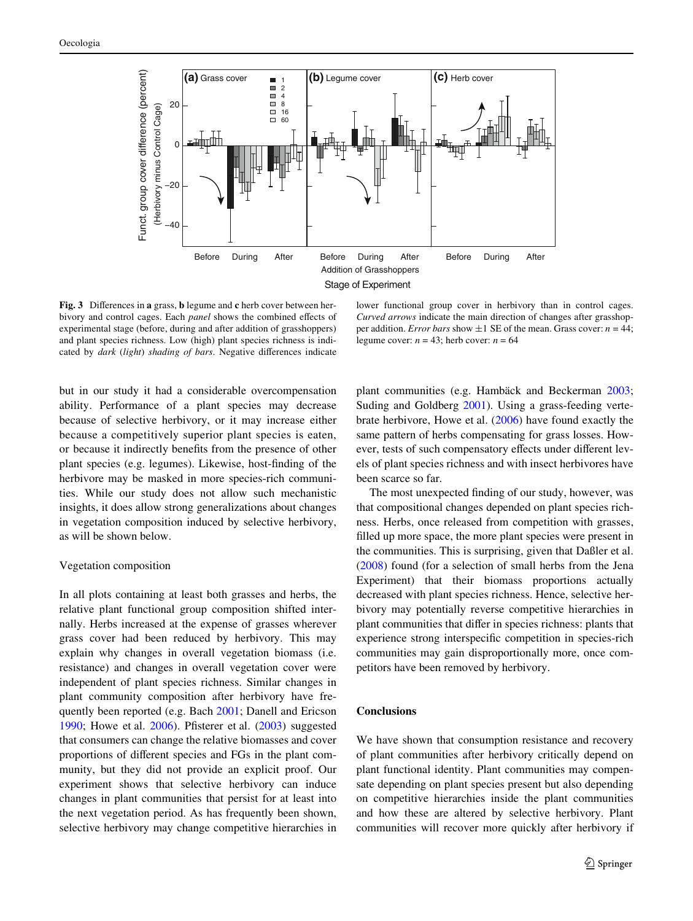

<span id="page-8-0"></span>**Fig. 3** Differences in **a** grass, **b** legume and **c** herb cover between herbivory and control cages. Each *panel* shows the combined effects of experimental stage (before, during and after addition of grasshoppers) and plant species richness. Low (high) plant species richness is indicated by *dark* (*light*) *shading of bars*. Negative differences indicate

lower functional group cover in herbivory than in control cages. *Curved arrows* indicate the main direction of changes after grasshopper addition. *Error bars* show  $\pm 1$  SE of the mean. Grass cover: *n* = 44; legume cover:  $n = 43$ ; herb cover:  $n = 64$ 

but in our study it had a considerable overcompensation ability. Performance of a plant species may decrease because of selective herbivory, or it may increase either because a competitively superior plant species is eaten, or because it indirectly benefits from the presence of other plant species (e.g. legumes). Likewise, host-finding of the herbivore may be masked in more species-rich communities. While our study does not allow such mechanistic insights, it does allow strong generalizations about changes in vegetation composition induced by selective herbivory, as will be shown below.

## Vegetation composition

In all plots containing at least both grasses and herbs, the relative plant functional group composition shifted internally. Herbs increased at the expense of grasses wherever grass cover had been reduced by herbivory. This may explain why changes in overall vegetation biomass (i.e. resistance) and changes in overall vegetation cover were independent of plant species richness. Similar changes in plant community composition after herbivory have frequently been reported (e.g. Bach [2001](#page-9-16); Danell and Ericson [1990](#page-9-34); Howe et al.  $2006$ ). Pfisterer et al.  $(2003)$  suggested that consumers can change the relative biomasses and cover proportions of different species and FGs in the plant community, but they did not provide an explicit proof. Our experiment shows that selective herbivory can induce changes in plant communities that persist for at least into the next vegetation period. As has frequently been shown, selective herbivory may change competitive hierarchies in plant communities (e.g. Hambäck and Beckerman [2003;](#page-9-32) Suding and Goldberg [2001\)](#page-10-12). Using a grass-feeding vertebrate herbivore, Howe et al. ([2006\)](#page-9-35) have found exactly the same pattern of herbs compensating for grass losses. However, tests of such compensatory effects under different levels of plant species richness and with insect herbivores have been scarce so far.

The most unexpected finding of our study, however, was that compositional changes depended on plant species richness. Herbs, once released from competition with grasses, filled up more space, the more plant species were present in the communities. This is surprising, given that Daßler et al. [\(2008\)](#page-9-36) found (for a selection of small herbs from the Jena Experiment) that their biomass proportions actually decreased with plant species richness. Hence, selective herbivory may potentially reverse competitive hierarchies in plant communities that differ in species richness: plants that experience strong interspecific competition in species-rich communities may gain disproportionally more, once competitors have been removed by herbivory.

#### **Conclusions**

We have shown that consumption resistance and recovery of plant communities after herbivory critically depend on plant functional identity. Plant communities may compensate depending on plant species present but also depending on competitive hierarchies inside the plant communities and how these are altered by selective herbivory. Plant communities will recover more quickly after herbivory if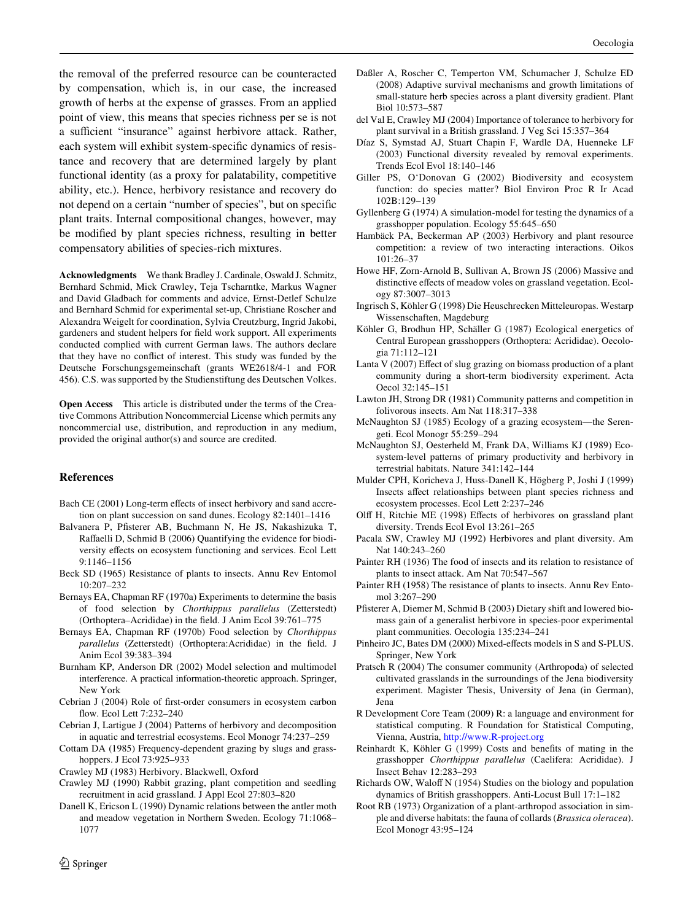the removal of the preferred resource can be counteracted by compensation, which is, in our case, the increased growth of herbs at the expense of grasses. From an applied point of view, this means that species richness per se is not a sufficient "insurance" against herbivore attack. Rather, each system will exhibit system-specific dynamics of resistance and recovery that are determined largely by plant functional identity (as a proxy for palatability, competitive ability, etc.). Hence, herbivory resistance and recovery do not depend on a certain "number of species", but on specific plant traits. Internal compositional changes, however, may be modified by plant species richness, resulting in better compensatory abilities of species-rich mixtures.

**Acknowledgments** We thank Bradley J. Cardinale, Oswald J. Schmitz, Bernhard Schmid, Mick Crawley, Teja Tscharntke, Markus Wagner and David Gladbach for comments and advice, Ernst-Detlef Schulze and Bernhard Schmid for experimental set-up, Christiane Roscher and Alexandra Weigelt for coordination, Sylvia Creutzburg, Ingrid Jakobi, gardeners and student helpers for field work support. All experiments conducted complied with current German laws. The authors declare that they have no conflict of interest. This study was funded by the Deutsche Forschungsgemeinschaft (grants WE2618/4-1 and FOR 456). C.S. was supported by the Studienstiftung des Deutschen Volkes.

**Open Access** This article is distributed under the terms of the Creative Commons Attribution Noncommercial License which permits any noncommercial use, distribution, and reproduction in any medium, provided the original author(s) and source are credited.

## **References**

- <span id="page-9-16"></span>Bach CE (2001) Long-term effects of insect herbivory and sand accretion on plant succession on sand dunes. Ecology 82:1401–1416
- <span id="page-9-11"></span>Balvanera P, Pfisterer AB, Buchmann N, He JS, Nakashizuka T, Raffaelli D, Schmid B (2006) Quantifying the evidence for biodiversity effects on ecosystem functioning and services. Ecol Lett 9:1146–1156
- <span id="page-9-26"></span>Beck SD (1965) Resistance of plants to insects. Annu Rev Entomol 10:207–232
- <span id="page-9-20"></span>Bernays EA, Chapman RF (1970a) Experiments to determine the basis of food selection by *Chorthippus parallelus* (Zetterstedt) (Orthoptera–Acrididae) in the field. J Anim Ecol 39:761–775
- <span id="page-9-21"></span>Bernays EA, Chapman RF (1970b) Food selection by *Chorthippus* parallelus (Zetterstedt) (Orthoptera:Acrididae) in the field. J Anim Ecol 39:383–394
- <span id="page-9-29"></span>Burnham KP, Anderson DR (2002) Model selection and multimodel interference. A practical information-theoretic approach. Springer, New York
- <span id="page-9-0"></span>Cebrian J (2004) Role of first-order consumers in ecosystem carbon flow. Ecol Lett 7:232-240
- <span id="page-9-4"></span>Cebrian J, Lartigue J (2004) Patterns of herbivory and decomposition in aquatic and terrestrial ecosystems. Ecol Monogr 74:237–259
- <span id="page-9-14"></span>Cottam DA (1985) Frequency-dependent grazing by slugs and grasshoppers. J Ecol 73:925–933
- <span id="page-9-1"></span>Crawley MJ (1983) Herbivory. Blackwell, Oxford
- <span id="page-9-33"></span>Crawley MJ (1990) Rabbit grazing, plant competition and seedling recruitment in acid grassland. J Appl Ecol 27:803–820
- <span id="page-9-34"></span>Danell K, Ericson L (1990) Dynamic relations between the antler moth and meadow vegetation in Northern Sweden. Ecology 71:1068– 1077
- <span id="page-9-36"></span>Daßler A, Roscher C, Temperton VM, Schumacher J, Schulze ED (2008) Adaptive survival mechanisms and growth limitations of small-stature herb species across a plant diversity gradient. Plant Biol 10:573–587
- <span id="page-9-31"></span>del Val E, Crawley MJ (2004) Importance of tolerance to herbivory for plant survival in a British grassland. J Veg Sci 15:357–364
- <span id="page-9-13"></span>Díaz S, Symstad AJ, Stuart Chapin F, Wardle DA, Huenneke LF (2003) Functional diversity revealed by removal experiments. Trends Ecol Evol 18:140–146
- <span id="page-9-30"></span>Giller PS, O'Donovan G (2002) Biodiversity and ecosystem function: do species matter? Biol Environ Proc R Ir Acad 102B:129–139
- <span id="page-9-24"></span>Gyllenberg G (1974) A simulation-model for testing the dynamics of a grasshopper population. Ecology 55:645–650
- <span id="page-9-32"></span>Hambäck PA, Beckerman AP (2003) Herbivory and plant resource competition: a review of two interacting interactions. Oikos 101:26–37
- <span id="page-9-35"></span>Howe HF, Zorn-Arnold B, Sullivan A, Brown JS (2006) Massive and distinctive effects of meadow voles on grassland vegetation. Ecology 87:3007–3013
- <span id="page-9-19"></span>Ingrisch S, Köhler G (1998) Die Heuschrecken Mitteleuropas. Westarp Wissenschaften, Magdeburg
- <span id="page-9-17"></span>Köhler G, Brodhun HP, Schäller G (1987) Ecological energetics of Central European grasshoppers (Orthoptera: Acrididae). Oecologia 71:112–121
- <span id="page-9-10"></span>Lanta V (2007) Effect of slug grazing on biomass production of a plant community during a short-term biodiversity experiment. Acta Oecol 32:145–151
- <span id="page-9-2"></span>Lawton JH, Strong DR (1981) Community patterns and competition in folivorous insects. Am Nat 118:317–338
- <span id="page-9-9"></span>McNaughton SJ (1985) Ecology of a grazing ecosystem—the Serengeti. Ecol Monogr 55:259–294
- <span id="page-9-5"></span>McNaughton SJ, Oesterheld M, Frank DA, Williams KJ (1989) Ecosystem-level patterns of primary productivity and herbivory in terrestrial habitats. Nature 341:142–144
- <span id="page-9-6"></span>Mulder CPH, Koricheva J, Huss-Danell K, Högberg P, Joshi J (1999) Insects affect relationships between plant species richness and ecosystem processes. Ecol Lett 2:237–246
- <span id="page-9-12"></span>Olff H, Ritchie ME (1998) Effects of herbivores on grassland plant diversity. Trends Ecol Evol 13:261–265
- <span id="page-9-15"></span>Pacala SW, Crawley MJ (1992) Herbivores and plant diversity. Am Nat 140:243–260
- <span id="page-9-8"></span>Painter RH (1936) The food of insects and its relation to resistance of plants to insect attack. Am Nat 70:547–567
- <span id="page-9-25"></span>Painter RH (1958) The resistance of plants to insects. Annu Rev Entomol 3:267–290
- <span id="page-9-7"></span>Pfisterer A, Diemer M, Schmid B (2003) Dietary shift and lowered biomass gain of a generalist herbivore in species-poor experimental plant communities. Oecologia 135:234–241
- <span id="page-9-28"></span>Pinheiro JC, Bates DM (2000) Mixed-effects models in S and S-PLUS. Springer, New York
- <span id="page-9-18"></span>Pratsch R (2004) The consumer community (Arthropoda) of selected cultivated grasslands in the surroundings of the Jena biodiversity experiment. Magister Thesis, University of Jena (in German), Jena
- <span id="page-9-27"></span>R Development Core Team (2009) R: a language and environment for statistical computing. R Foundation for Statistical Computing, Vienna, Austria,<http://www.R-project.org>
- <span id="page-9-23"></span>Reinhardt K, Köhler G (1999) Costs and benefits of mating in the grasshopper *Chorthippus parallelus* (Caelifera: Acrididae). J Insect Behav 12:283–293
- <span id="page-9-22"></span>Richards OW, Waloff N (1954) Studies on the biology and population dynamics of British grasshoppers. Anti-Locust Bull 17:1–182
- <span id="page-9-3"></span>Root RB (1973) Organization of a plant-arthropod association in simple and diverse habitats: the fauna of collards (*Brassica oleracea*). Ecol Monogr 43:95–124